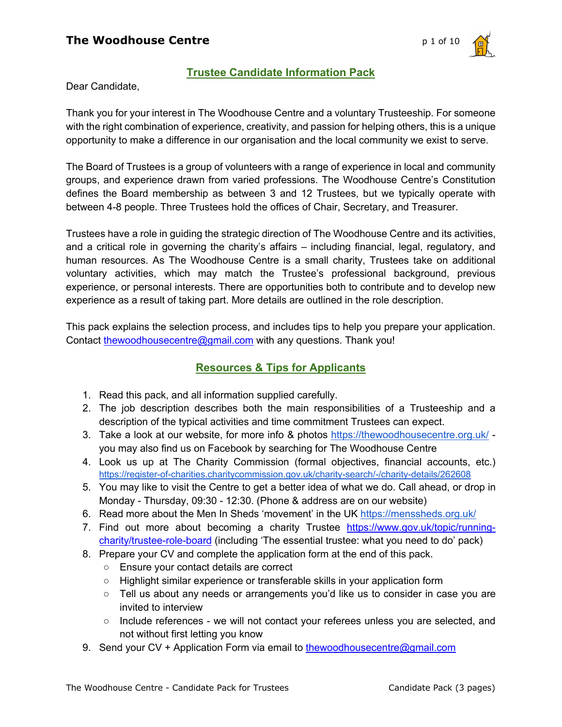

# **Trustee Candidate Information Pack**

Dear Candidate,

Thank you for your interest in The Woodhouse Centre and a voluntary Trusteeship. For someone with the right combination of experience, creativity, and passion for helping others, this is a unique opportunity to make a difference in our organisation and the local community we exist to serve.

The Board of Trustees is a group of volunteers with a range of experience in local and community groups, and experience drawn from varied professions. The Woodhouse Centre's Constitution defines the Board membership as between 3 and 12 Trustees, but we typically operate with between 4-8 people. Three Trustees hold the offices of Chair, Secretary, and Treasurer.

Trustees have a role in guiding the strategic direction of The Woodhouse Centre and its activities, and a critical role in governing the charity's affairs – including financial, legal, regulatory, and human resources. As The Woodhouse Centre is a small charity, Trustees take on additional voluntary activities, which may match the Trustee's professional background, previous experience, or personal interests. There are opportunities both to contribute and to develop new experience as a result of taking part. More details are outlined in the role description.

This pack explains the selection process, and includes tips to help you prepare your application. Contact thewoodhousecentre@gmail.com with any questions. Thank you!

# **Resources & Tips for Applicants**

- 1. Read this pack, and all information supplied carefully.
- 2. The job description describes both the main responsibilities of a Trusteeship and a description of the typical activities and time commitment Trustees can expect.
- 3. Take a look at our website, for more info & photos https://thewoodhousecentre.org.uk/ you may also find us on Facebook by searching for The Woodhouse Centre
- 4. Look us up at The Charity Commission (formal objectives, financial accounts, etc.) https://register-of-charities.charitycommission.gov.uk/charity-search/-/charity-details/262608
- 5. You may like to visit the Centre to get a better idea of what we do. Call ahead, or drop in Monday - Thursday, 09:30 - 12:30. (Phone & address are on our website)
- 6. Read more about the Men In Sheds 'movement' in the UK https://menssheds.org.uk/
- 7. Find out more about becoming a charity Trustee https://www.gov.uk/topic/runningcharity/trustee-role-board (including 'The essential trustee: what you need to do' pack)
- 8. Prepare your CV and complete the application form at the end of this pack.
	- Ensure your contact details are correct
	- Highlight similar experience or transferable skills in your application form
	- Tell us about any needs or arrangements you'd like us to consider in case you are invited to interview
	- Include references we will not contact your referees unless you are selected, and not without first letting you know
- 9. Send your CV + Application Form via email to thewoodhousecentre@gmail.com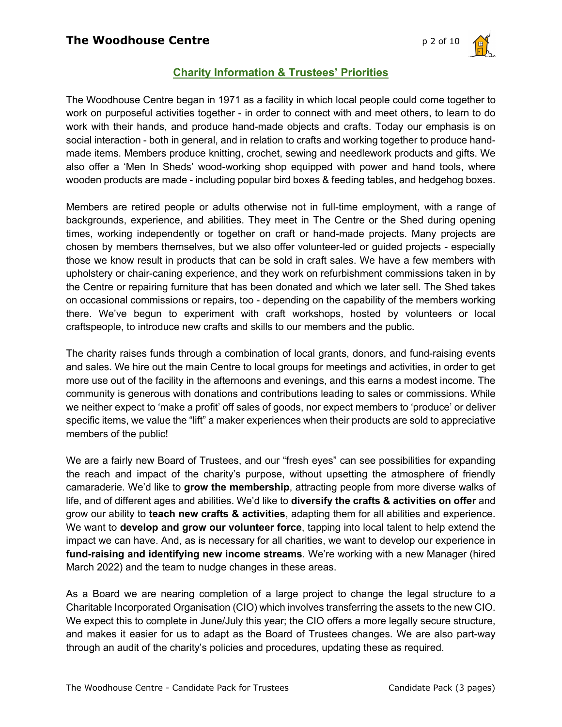

# **Charity Information & Trustees' Priorities**

The Woodhouse Centre began in 1971 as a facility in which local people could come together to work on purposeful activities together - in order to connect with and meet others, to learn to do work with their hands, and produce hand-made objects and crafts. Today our emphasis is on social interaction - both in general, and in relation to crafts and working together to produce handmade items. Members produce knitting, crochet, sewing and needlework products and gifts. We also offer a 'Men In Sheds' wood-working shop equipped with power and hand tools, where wooden products are made - including popular bird boxes & feeding tables, and hedgehog boxes.

Members are retired people or adults otherwise not in full-time employment, with a range of backgrounds, experience, and abilities. They meet in The Centre or the Shed during opening times, working independently or together on craft or hand-made projects. Many projects are chosen by members themselves, but we also offer volunteer-led or guided projects - especially those we know result in products that can be sold in craft sales. We have a few members with upholstery or chair-caning experience, and they work on refurbishment commissions taken in by the Centre or repairing furniture that has been donated and which we later sell. The Shed takes on occasional commissions or repairs, too - depending on the capability of the members working there. We've begun to experiment with craft workshops, hosted by volunteers or local craftspeople, to introduce new crafts and skills to our members and the public.

The charity raises funds through a combination of local grants, donors, and fund-raising events and sales. We hire out the main Centre to local groups for meetings and activities, in order to get more use out of the facility in the afternoons and evenings, and this earns a modest income. The community is generous with donations and contributions leading to sales or commissions. While we neither expect to 'make a profit' off sales of goods, nor expect members to 'produce' or deliver specific items, we value the "lift" a maker experiences when their products are sold to appreciative members of the public!

We are a fairly new Board of Trustees, and our "fresh eyes" can see possibilities for expanding the reach and impact of the charity's purpose, without upsetting the atmosphere of friendly camaraderie. We'd like to **grow the membership**, attracting people from more diverse walks of life, and of different ages and abilities. We'd like to **diversify the crafts & activities on offer** and grow our ability to **teach new crafts & activities**, adapting them for all abilities and experience. We want to **develop and grow our volunteer force**, tapping into local talent to help extend the impact we can have. And, as is necessary for all charities, we want to develop our experience in **fund-raising and identifying new income streams**. We're working with a new Manager (hired March 2022) and the team to nudge changes in these areas.

As a Board we are nearing completion of a large project to change the legal structure to a Charitable Incorporated Organisation (CIO) which involves transferring the assets to the new CIO. We expect this to complete in June/July this year; the CIO offers a more legally secure structure, and makes it easier for us to adapt as the Board of Trustees changes. We are also part-way through an audit of the charity's policies and procedures, updating these as required.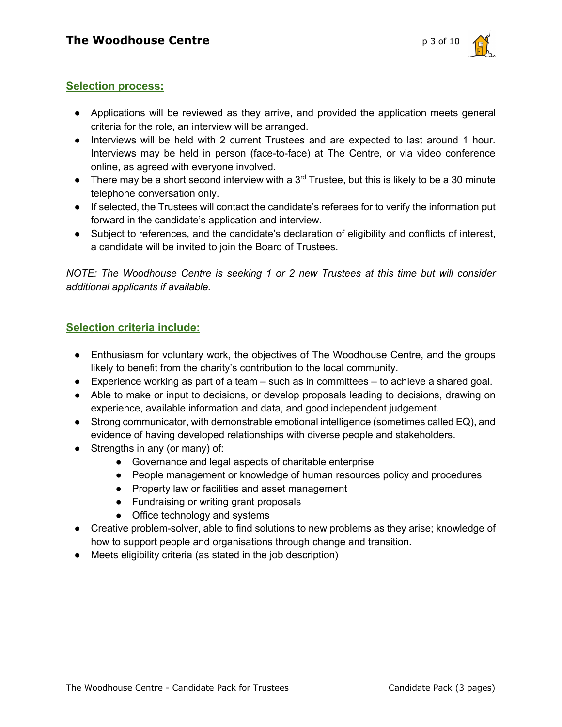

### **Selection process:**

- Applications will be reviewed as they arrive, and provided the application meets general criteria for the role, an interview will be arranged.
- Interviews will be held with 2 current Trustees and are expected to last around 1 hour. Interviews may be held in person (face-to-face) at The Centre, or via video conference online, as agreed with everyone involved.
- There may be a short second interview with a  $3<sup>rd</sup>$  Trustee, but this is likely to be a 30 minute telephone conversation only.
- If selected, the Trustees will contact the candidate's referees for to verify the information put forward in the candidate's application and interview.
- Subject to references, and the candidate's declaration of eligibility and conflicts of interest, a candidate will be invited to join the Board of Trustees.

*NOTE: The Woodhouse Centre is seeking 1 or 2 new Trustees at this time but will consider additional applicants if available.*

### **Selection criteria include:**

- Enthusiasm for voluntary work, the objectives of The Woodhouse Centre, and the groups likely to benefit from the charity's contribution to the local community.
- Experience working as part of a team such as in committees to achieve a shared goal.
- Able to make or input to decisions, or develop proposals leading to decisions, drawing on experience, available information and data, and good independent judgement.
- Strong communicator, with demonstrable emotional intelligence (sometimes called EQ), and evidence of having developed relationships with diverse people and stakeholders.
- Strengths in any (or many) of:
	- Governance and legal aspects of charitable enterprise
	- People management or knowledge of human resources policy and procedures
	- Property law or facilities and asset management
	- Fundraising or writing grant proposals
	- Office technology and systems
- Creative problem-solver, able to find solutions to new problems as they arise; knowledge of how to support people and organisations through change and transition.
- Meets eligibility criteria (as stated in the job description)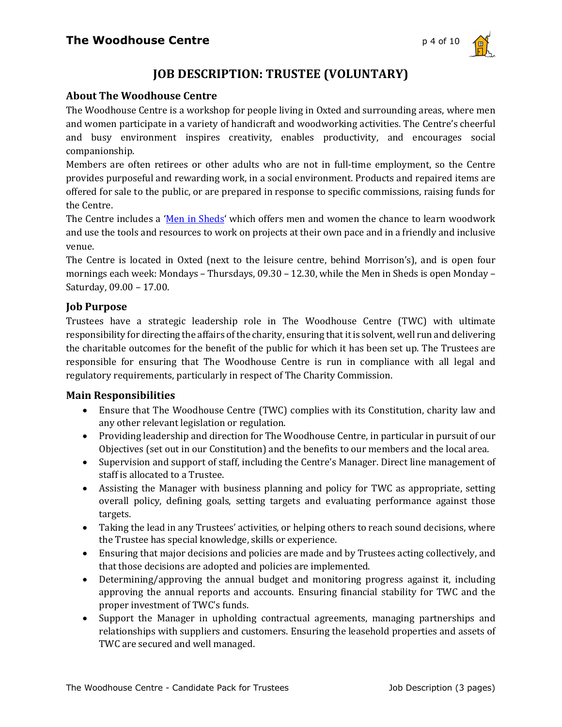

# **JOB DESCRIPTION: TRUSTEE (VOLUNTARY)**

### **About The Woodhouse Centre**

The Woodhouse Centre is a workshop for people living in Oxted and surrounding areas, where men and women participate in a variety of handicraft and woodworking activities. The Centre's cheerful and busy environment inspires creativity, enables productivity, and encourages social companionship.

Members are often retirees or other adults who are not in full-time employment, so the Centre provides purposeful and rewarding work, in a social environment. Products and repaired items are offered for sale to the public, or are prepared in response to specific commissions, raising funds for the Centre.

The Centre includes a 'Men in Sheds' which offers men and women the chance to learn woodwork and use the tools and resources to work on projects at their own pace and in a friendly and inclusive venue.

The Centre is located in Oxted (next to the leisure centre, behind Morrison's), and is open four mornings each week: Mondays – Thursdays,  $09.30 - 12.30$ , while the Men in Sheds is open Monday – Saturday, 09.00 - 17.00.

### **Job Purpose**

Trustees have a strategic leadership role in The Woodhouse Centre (TWC) with ultimate responsibility for directing the affairs of the charity, ensuring that it is solvent, well run and delivering the charitable outcomes for the benefit of the public for which it has been set up. The Trustees are responsible for ensuring that The Woodhouse Centre is run in compliance with all legal and regulatory requirements, particularly in respect of The Charity Commission.

### **Main Responsibilities**

- Ensure that The Woodhouse Centre (TWC) complies with its Constitution, charity law and any other relevant legislation or regulation.
- Providing leadership and direction for The Woodhouse Centre, in particular in pursuit of our Objectives (set out in our Constitution) and the benefits to our members and the local area.
- Supervision and support of staff, including the Centre's Manager. Direct line management of staff is allocated to a Trustee.
- Assisting the Manager with business planning and policy for TWC as appropriate, setting overall policy, defining goals, setting targets and evaluating performance against those targets.
- Taking the lead in any Trustees' activities, or helping others to reach sound decisions, where the Trustee has special knowledge, skills or experience.
- Ensuring that major decisions and policies are made and by Trustees acting collectively, and that those decisions are adopted and policies are implemented.
- Determining/approving the annual budget and monitoring progress against it, including approving the annual reports and accounts. Ensuring financial stability for TWC and the proper investment of TWC's funds.
- Support the Manager in upholding contractual agreements, managing partnerships and relationships with suppliers and customers. Ensuring the leasehold properties and assets of TWC are secured and well managed.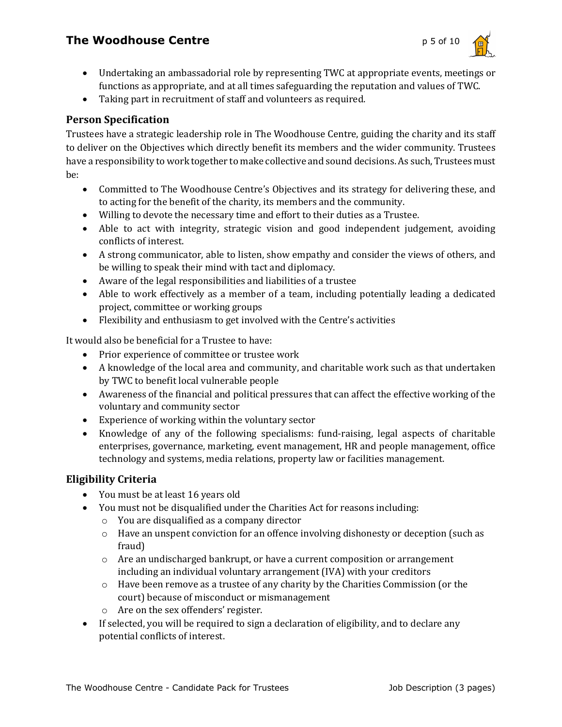# **The Woodhouse Centre p** 5 of 10



- Undertaking an ambassadorial role by representing TWC at appropriate events, meetings or functions as appropriate, and at all times safeguarding the reputation and values of TWC.
- Taking part in recruitment of staff and volunteers as required.

### **Person Specification**

Trustees have a strategic leadership role in The Woodhouse Centre, guiding the charity and its staff to deliver on the Objectives which directly benefit its members and the wider community. Trustees have a responsibility to work together to make collective and sound decisions. As such, Trustees must be:

- Committed to The Woodhouse Centre's Objectives and its strategy for delivering these, and to acting for the benefit of the charity, its members and the community.
- Willing to devote the necessary time and effort to their duties as a Trustee.
- Able to act with integrity, strategic vision and good independent judgement, avoiding conflicts of interest.
- A strong communicator, able to listen, show empathy and consider the views of others, and be willing to speak their mind with tact and diplomacy.
- Aware of the legal responsibilities and liabilities of a trustee
- Able to work effectively as a member of a team, including potentially leading a dedicated project, committee or working groups
- Flexibility and enthusiasm to get involved with the Centre's activities

It would also be beneficial for a Trustee to have:

- Prior experience of committee or trustee work
- A knowledge of the local area and community, and charitable work such as that undertaken by TWC to benefit local vulnerable people
- Awareness of the financial and political pressures that can affect the effective working of the voluntary and community sector
- Experience of working within the voluntary sector
- Knowledge of any of the following specialisms: fund-raising, legal aspects of charitable enterprises, governance, marketing, event management, HR and people management, office technology and systems, media relations, property law or facilities management.

### **Eligibility Criteria**

- You must be at least 16 years old
- You must not be disqualified under the Charities Act for reasons including:
	- $\circ$  You are disqualified as a company director
	- $\circ$  Have an unspent conviction for an offence involving dishonesty or deception (such as fraud)
	- $\circ$  Are an undischarged bankrupt, or have a current composition or arrangement including an individual voluntary arrangement (IVA) with your creditors
	- $\circ$  Have been remove as a trustee of any charity by the Charities Commission (or the court) because of misconduct or mismanagement
	- $\circ$  Are on the sex offenders' register.
- If selected, you will be required to sign a declaration of eligibility, and to declare any potential conflicts of interest.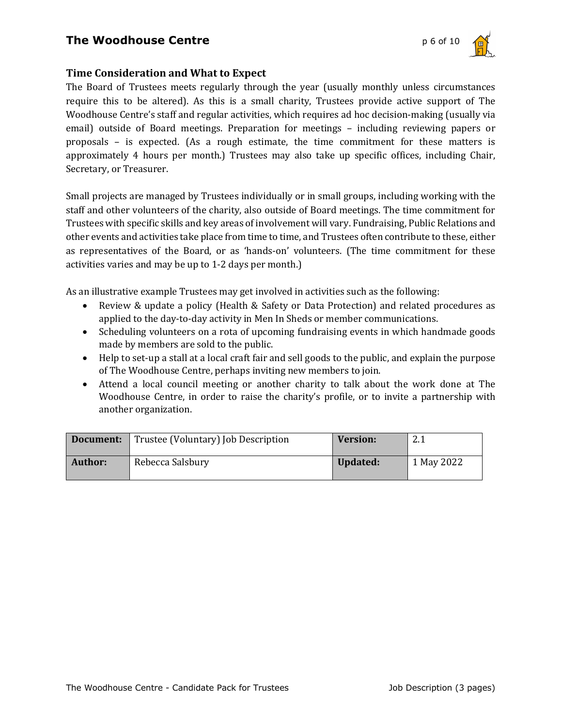# **The Woodhouse Centre photographs p** 6 of 10



### **Time Consideration and What to Expect**

The Board of Trustees meets regularly through the year (usually monthly unless circumstances require this to be altered). As this is a small charity, Trustees provide active support of The Woodhouse Centre's staff and regular activities, which requires ad hoc decision-making (usually via email) outside of Board meetings. Preparation for meetings – including reviewing papers or proposals  $-$  is expected. (As a rough estimate, the time commitment for these matters is approximately 4 hours per month.) Trustees may also take up specific offices, including Chair, Secretary, or Treasurer.

Small projects are managed by Trustees individually or in small groups, including working with the staff and other volunteers of the charity, also outside of Board meetings. The time commitment for Trustees with specific skills and key areas of involvement will vary. Fundraising, Public Relations and other events and activities take place from time to time, and Trustees often contribute to these, either as representatives of the Board, or as 'hands-on' volunteers. (The time commitment for these activities varies and may be up to 1-2 days per month.)

As an illustrative example Trustees may get involved in activities such as the following:

- Review & update a policy (Health & Safety or Data Protection) and related procedures as applied to the day-to-day activity in Men In Sheds or member communications.
- Scheduling volunteers on a rota of upcoming fundraising events in which handmade goods made by members are sold to the public.
- Help to set-up a stall at a local craft fair and sell goods to the public, and explain the purpose of The Woodhouse Centre, perhaps inviting new members to join.
- Attend a local council meeting or another charity to talk about the work done at The Woodhouse Centre, in order to raise the charity's profile, or to invite a partnership with another organization.

|         | <b>Document:</b> Trustee (Voluntary) Job Description | <b>Version:</b> | ົາ 1<br>4.1 |
|---------|------------------------------------------------------|-----------------|-------------|
| Author: | Rebecca Salsbury                                     | Updated:        | 1 May 2022  |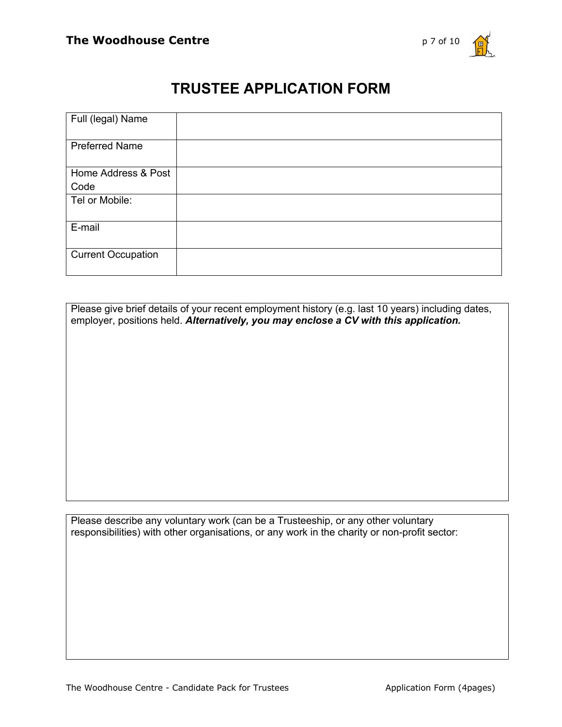

# **TRUSTEE APPLICATION FORM**

| Full (legal) Name         |  |
|---------------------------|--|
| <b>Preferred Name</b>     |  |
| Home Address & Post       |  |
| Code                      |  |
| Tel or Mobile:            |  |
| E-mail                    |  |
| <b>Current Occupation</b> |  |

Please give brief details of your recent employment history (e.g. last 10 years) including dates, employer, positions held. *Alternatively, you may enclose a CV with this application.*

Please describe any voluntary work (can be a Trusteeship, or any other voluntary responsibilities) with other organisations, or any work in the charity or non-profit sector: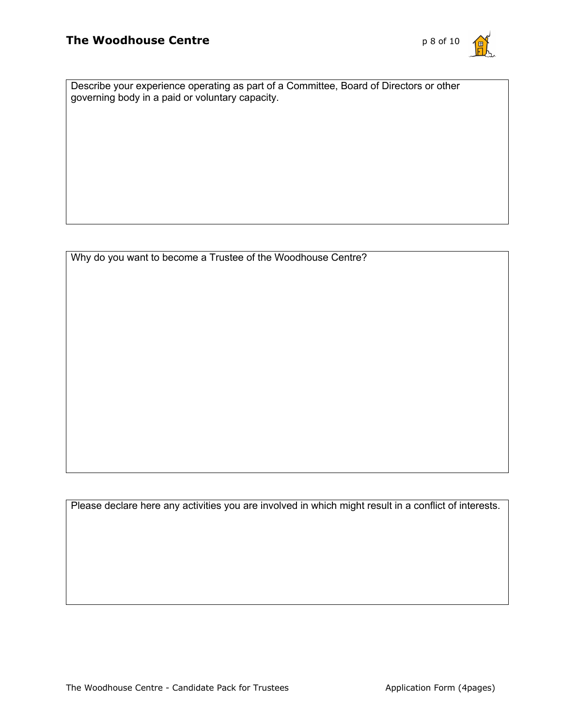

Describe your experience operating as part of a Committee, Board of Directors or other governing body in a paid or voluntary capacity.

Why do you want to become a Trustee of the Woodhouse Centre?

Please declare here any activities you are involved in which might result in a conflict of interests.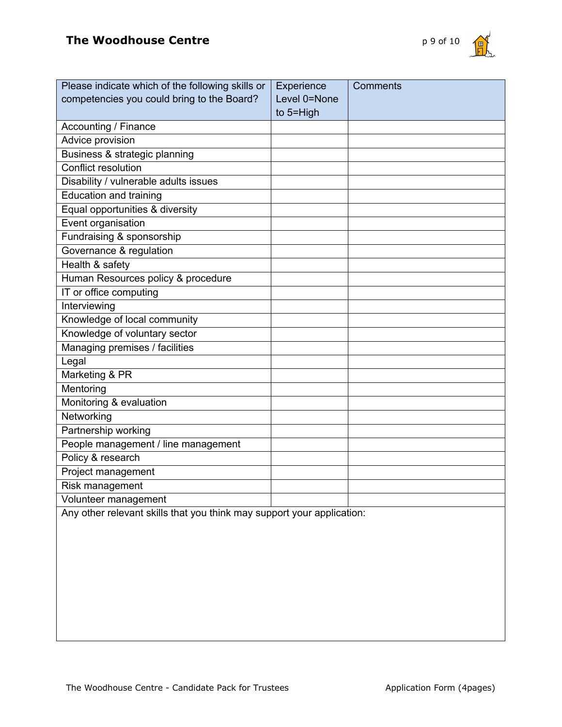

| Please indicate which of the following skills or                       | Experience   | <b>Comments</b> |
|------------------------------------------------------------------------|--------------|-----------------|
| competencies you could bring to the Board?                             | Level 0=None |                 |
|                                                                        | to 5=High    |                 |
| Accounting / Finance                                                   |              |                 |
| <b>Advice provision</b>                                                |              |                 |
| Business & strategic planning                                          |              |                 |
| <b>Conflict resolution</b>                                             |              |                 |
| Disability / vulnerable adults issues                                  |              |                 |
| <b>Education and training</b>                                          |              |                 |
| Equal opportunities & diversity                                        |              |                 |
| Event organisation                                                     |              |                 |
| Fundraising & sponsorship                                              |              |                 |
| Governance & regulation                                                |              |                 |
| Health & safety                                                        |              |                 |
| Human Resources policy & procedure                                     |              |                 |
| IT or office computing                                                 |              |                 |
| Interviewing                                                           |              |                 |
| Knowledge of local community                                           |              |                 |
| Knowledge of voluntary sector                                          |              |                 |
| Managing premises / facilities                                         |              |                 |
| Legal                                                                  |              |                 |
| Marketing & PR                                                         |              |                 |
| Mentoring                                                              |              |                 |
| Monitoring & evaluation                                                |              |                 |
| Networking                                                             |              |                 |
| Partnership working                                                    |              |                 |
| People management / line management                                    |              |                 |
| Policy & research                                                      |              |                 |
| Project management                                                     |              |                 |
| Risk management                                                        |              |                 |
| Volunteer management                                                   |              |                 |
| Any other relevant skills that you think may support your application: |              |                 |
|                                                                        |              |                 |
|                                                                        |              |                 |
|                                                                        |              |                 |
|                                                                        |              |                 |